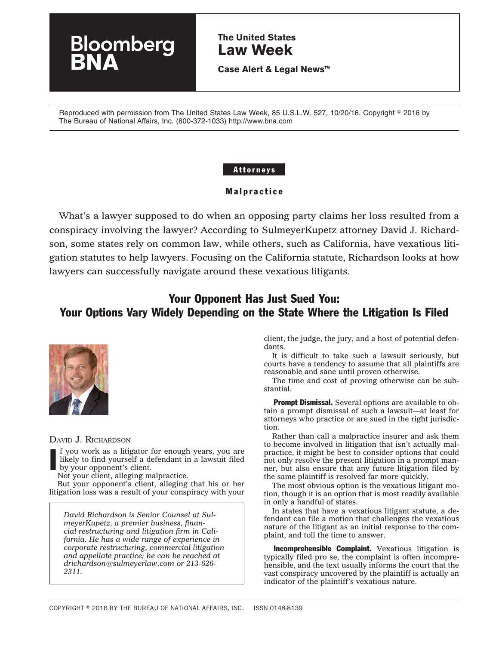# **The United States Law Week**

**Case Alert & Legal News™**

Reproduced with permission from The United States Law Week, 85 U.S.L.W. 527, 10/20/16. Copyright © 2016 by The Bureau of National Affairs, Inc. (800-372-1033) http://www.bna.com

### Attorneys

### Malpractice

What's a lawyer supposed to do when an opposing party claims her loss resulted from a conspiracy involving the lawyer? According to SulmeyerKupetz attorney David J. Richardson, some states rely on common law, while others, such as California, have vexatious litigation statutes to help lawyers. Focusing on the California statute, Richardson looks at how lawyers can successfully navigate around these vexatious litigants.

# Your Opponent Has Just Sued You: Your Options Vary Widely Depending on the State Where the Litigation Is Filed



DAVID J. RICHARDSON

I f you work as a litigator for enough years, you are likely to find yourself a defendant in a lawsuit filed by your opponent's client.

Not your client, alleging malpractice.

loomberg

But your opponent's client, alleging that his or her litigation loss was a result of your conspiracy with your

*David Richardson is Senior Counsel at SulmeyerKupetz, a premier business, financial restructuring and litigation firm in California. He has a wide range of experience in corporate restructuring, commercial litigation and appellate practice; he can be reached at [drichardson@sulmeyerlaw.com](mailto:drichardson@sulmeyerlaw.com) or 213-626- 2311.*

client, the judge, the jury, and a host of potential defendants.

It is difficult to take such a lawsuit seriously, but courts have a tendency to assume that all plaintiffs are reasonable and sane until proven otherwise.

The time and cost of proving otherwise can be substantial.

**Prompt Dismissal.** Several options are available to obtain a prompt dismissal of such a lawsuit—at least for attorneys who practice or are sued in the right jurisdiction.

Rather than call a malpractice insurer and ask them to become involved in litigation that isn't actually malpractice, it might be best to consider options that could not only resolve the present litigation in a prompt manner, but also ensure that any future litigation filed by the same plaintiff is resolved far more quickly.

The most obvious option is the vexatious litigant motion, though it is an option that is most readily available in only a handful of states.

In states that have a vexatious litigant statute, a defendant can file a motion that challenges the vexatious nature of the litigant as an initial response to the complaint, and toll the time to answer.

Incomprehensible Complaint. Vexatious litigation is typically filed pro se, the complaint is often incomprehensible, and the text usually informs the court that the vast conspiracy uncovered by the plaintiff is actually an indicator of the plaintiff's vexatious nature.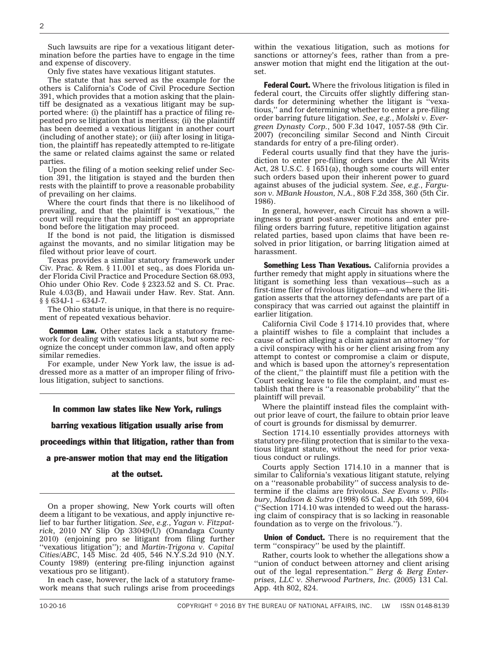Such lawsuits are ripe for a vexatious litigant determination before the parties have to engage in the time and expense of discovery.

Only five states have vexatious litigant statutes.

The statute that has served as the example for the others is California's Code of Civil Procedure Section 391, which provides that a motion asking that the plaintiff be designated as a vexatious litigant may be supported where: (i) the plaintiff has a practice of filing repeated pro se litigation that is meritless; (ii) the plaintiff has been deemed a vexatious litigant in another court (including of another state); or (iii) after losing in litigation, the plaintiff has repeatedly attempted to re-litigate the same or related claims against the same or related parties.

Upon the filing of a motion seeking relief under Section 391, the litigation is stayed and the burden then rests with the plaintiff to prove a reasonable probability of prevailing on her claims.

Where the court finds that there is no likelihood of prevailing, and that the plaintiff is ''vexatious,'' the court will require that the plaintiff post an appropriate bond before the litigation may proceed.

If the bond is not paid, the litigation is dismissed against the movants, and no similar litigation may be filed without prior leave of court.

Texas provides a similar statutory framework under Civ. Prac. & Rem. § 11.001 et seq., as does Florida under Florida Civil Practice and Procedure Section 68.093, Ohio under Ohio Rev. Code § 2323.52 and S. Ct. Prac. Rule 4.03(B), and Hawaii under Haw. Rev. Stat. Ann.  $§$ § 634J-1 – 634J-7.

The Ohio statute is unique, in that there is no requirement of repeated vexatious behavior.

**Common Law.** Other states lack a statutory framework for dealing with vexatious litigants, but some recognize the concept under common law, and often apply similar remedies.

For example, under New York law, the issue is addressed more as a matter of an improper filing of frivolous litigation, subject to sanctions.

#### In common law states like New York, rulings

barring vexatious litigation usually arise from

proceedings within that litigation, rather than from

a pre-answer motion that may end the litigation

#### at the outset.

On a proper showing, New York courts will often deem a litigant to be vexatious, and apply injunctive relief to bar further litigation. *See*, *e.g.*, *Yagan v. Fitzpatrick*, 2010 NY Slip Op 33049(U) (Onandaga County 2010) (enjoining pro se litigant from filing further ''vexatious litigation''); and *Martin-Trigona v. Capital Cities/ABC*, 145 Misc. 2d 405, 546 N.Y.S.2d 910 (N.Y. County 1989) (entering pre-filing injunction against vexatious pro se litigant).

In each case, however, the lack of a statutory framework means that such rulings arise from proceedings within the vexatious litigation, such as motions for sanctions or attorney's fees, rather than from a preanswer motion that might end the litigation at the outset.

**Federal Court.** Where the frivolous litigation is filed in federal court, the Circuits offer slightly differing standards for determining whether the litigant is ''vexatious,'' and for determining whether to enter a pre-filing order barring future litigation. *See*, *e.g.*, *Molski v. Evergreen Dynasty Corp.*, 500 F.3d 1047, 1057-58 (9th Cir. 2007) (reconciling similar Second and Ninth Circuit standards for entry of a pre-filing order).

Federal courts usually find that they have the jurisdiction to enter pre-filing orders under the All Writs Act, 28 U.S.C. § 1651(a), though some courts will enter such orders based upon their inherent power to guard against abuses of the judicial system. *See*, *e.g.*, *Farguson v. MBank Houston, N.A.*, 808 F.2d 358, 360 (5th Cir. 1986).

In general, however, each Circuit has shown a willingness to grant post-answer motions and enter prefiling orders barring future, repetitive litigation against related parties, based upon claims that have been resolved in prior litigation, or barring litigation aimed at harassment.

Something Less Than Vexatious. California provides a further remedy that might apply in situations where the litigant is something less than vexatious—such as a first-time filer of frivolous litigation—and where the litigation asserts that the attorney defendants are part of a conspiracy that was carried out against the plaintiff in earlier litigation.

California Civil Code § 1714.10 provides that, where a plaintiff wishes to file a complaint that includes a cause of action alleging a claim against an attorney ''for a civil conspiracy with his or her client arising from any attempt to contest or compromise a claim or dispute, and which is based upon the attorney's representation of the client,'' the plaintiff must file a petition with the Court seeking leave to file the complaint, and must establish that there is ''a reasonable probability'' that the plaintiff will prevail.

Where the plaintiff instead files the complaint without prior leave of court, the failure to obtain prior leave of court is grounds for dismissal by demurrer.

Section 1714.10 essentially provides attorneys with statutory pre-filing protection that is similar to the vexatious litigant statute, without the need for prior vexatious conduct or rulings.

Courts apply Section 1714.10 in a manner that is similar to California's vexatious litigant statute, relying on a ''reasonable probability'' of success analysis to determine if the claims are frivolous. *See Evans v. Pillsbury, Madison & Sutro* (1998) 65 Cal. App. 4th 599, 604 (''Section 1714.10 was intended to weed out the harassing claim of conspiracy that is so lacking in reasonable foundation as to verge on the frivolous.'').

**Union of Conduct.** There is no requirement that the term ''conspiracy'' be used by the plaintiff.

Rather, courts look to whether the allegations show a ''union of conduct between attorney and client arising out of the legal representation.'' *Berg & Berg Enterprises, LLC v. Sherwood Partners, Inc.* (2005) 131 Cal. App. 4th 802, 824.